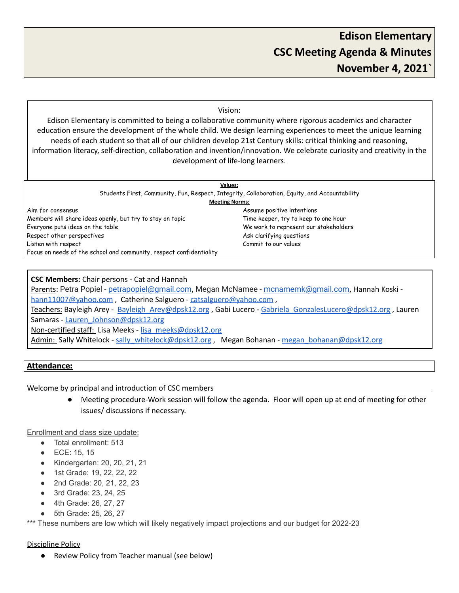#### Vision:

Edison Elementary is committed to being a collaborative community where rigorous academics and character education ensure the development of the whole child. We design learning experiences to meet the unique learning needs of each student so that all of our children develop 21st Century skills: critical thinking and reasoning, information literacy, self-direction, collaboration and invention/innovation. We celebrate curiosity and creativity in the development of life-long learners.

| <b>Values:</b>                                                                                |                                       |
|-----------------------------------------------------------------------------------------------|---------------------------------------|
| Students First, Community, Fun, Respect, Integrity, Collaboration, Equity, and Accountability |                                       |
| <b>Meeting Norms:</b>                                                                         |                                       |
| Aim for consensus                                                                             | Assume positive intentions            |
| Members will share ideas openly, but try to stay on topic                                     | Time keeper, try to keep to one hour  |
| Everyone puts ideas on the table                                                              | We work to represent our stakeholders |
| Respect other perspectives                                                                    | Ask clarifying questions              |
| Listen with respect                                                                           | Commit to our values                  |
| Focus on needs of the school and community, respect confidentiality                           |                                       |

#### **CSC Members:** Chair persons - Cat and Hannah

Parents: Petra Popiel - [petrapopiel@gmail.com](mailto:petrapopiel@gmail.com), Megan McNamee - [mcnamemk@gmail.com](mailto:mcnamemk@gmail.com), Hannah Koski [hann11007@yahoo.com](mailto:hann11007@yahoo.com), Catherine Salguero - [catsalguero@yahoo.com](mailto:catsalguero@yahoo.com), Teachers: Bayleigh Arey - Bayleigh Arey@dpsk12.org , Gabi Lucero - Gabriela GonzalesLucero@dpsk12.org , Lauren Samaras - [Lauren\\_Johnson@dpsk12.org](mailto:Lauren_Johnson@dpsk12.org) Non-certified staff: Lisa Meeks - [lisa\\_meeks@dpsk12.org](mailto:lisa_meeks@dpsk12.org) Admin: Sally Whitelock - sally whitelock@dpsk12.org , Megan Bohanan - megan bohanan@dpsk12.org

#### **Attendance:**

Welcome by principal and introduction of CSC members

● Meeting procedure-Work session will follow the agenda. Floor will open up at end of meeting for other issues/ discussions if necessary.

Enrollment and class size update:

- Total enrollment: 513
- ECE: 15, 15
- Kindergarten: 20, 20, 21, 21
- 1st Grade: 19, 22, 22, 22
- 2nd Grade: 20, 21, 22, 23
- 3rd Grade: 23, 24, 25
- 4th Grade: 26, 27, 27
- 5th Grade: 25, 26, 27

\*\*\* These numbers are low which will likely negatively impact projections and our budget for 2022-23

#### Discipline Policy

Review Policy from Teacher manual (see below)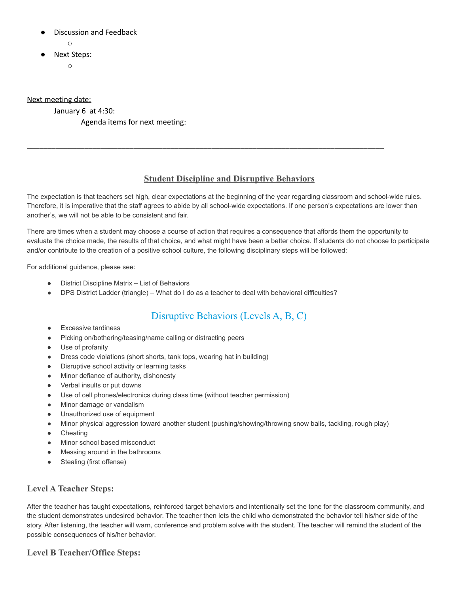- **Discussion and Feedback** 
	- $\circ$
- **Next Steps:** 
	- $\circ$

Next meeting date:

January 6 at 4:30:

Agenda items for next meeting:

### **Student Discipline and Disruptive Behaviors**

\_\_\_\_\_\_\_\_\_\_\_\_\_\_\_\_\_\_\_\_\_\_\_\_\_\_\_\_\_\_\_\_\_\_\_\_\_\_\_\_\_\_\_\_\_\_\_\_\_\_\_\_\_\_\_\_\_\_\_\_\_\_\_\_\_\_\_\_\_\_\_\_\_\_\_\_\_\_\_\_\_\_\_\_\_\_\_

The expectation is that teachers set high, clear expectations at the beginning of the year regarding classroom and school-wide rules. Therefore, it is imperative that the staff agrees to abide by all school-wide expectations. If one person's expectations are lower than another's, we will not be able to be consistent and fair.

There are times when a student may choose a course of action that requires a consequence that affords them the opportunity to evaluate the choice made, the results of that choice, and what might have been a better choice. If students do not choose to participate and/or contribute to the creation of a positive school culture, the following disciplinary steps will be followed:

For additional guidance, please see:

- District Discipline Matrix List of Behaviors
- DPS District Ladder (triangle) What do I do as a teacher to deal with behavioral difficulties?

# Disruptive Behaviors (Levels A, B, C)

- Excessive tardiness
- Picking on/bothering/teasing/name calling or distracting peers
- Use of profanity
- Dress code violations (short shorts, tank tops, wearing hat in building)
- Disruptive school activity or learning tasks
- Minor defiance of authority, dishonesty
- Verbal insults or put downs
- Use of cell phones/electronics during class time (without teacher permission)
- Minor damage or vandalism
- Unauthorized use of equipment
- Minor physical aggression toward another student (pushing/showing/throwing snow balls, tackling, rough play)
- **Cheating**
- Minor school based misconduct
- Messing around in the bathrooms
- Stealing (first offense)

### **Level A Teacher Steps:**

After the teacher has taught expectations, reinforced target behaviors and intentionally set the tone for the classroom community, and the student demonstrates undesired behavior. The teacher then lets the child who demonstrated the behavior tell his/her side of the story. After listening, the teacher will warn, conference and problem solve with the student. The teacher will remind the student of the possible consequences of his/her behavior.

### **Level B Teacher/Office Steps:**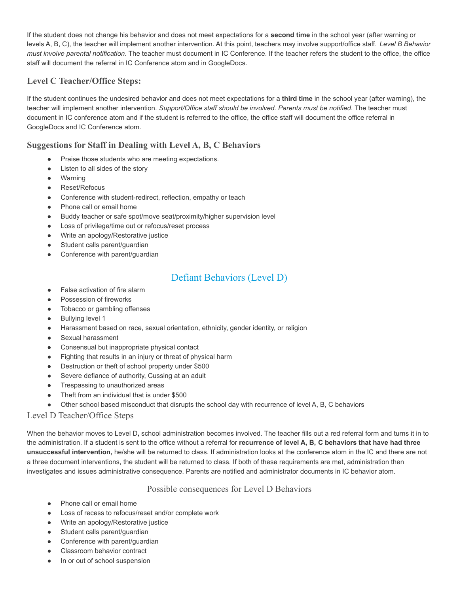If the student does not change his behavior and does not meet expectations for a **second time** in the school year (after warning or levels A, B, C), the teacher will implement another intervention. At this point, teachers may involve support/office staff. *Level B Behavior must involve parental notification*. The teacher must document in IC Conference. If the teacher refers the student to the office, the office staff will document the referral in IC Conference atom and in GoogleDocs.

## **Level C Teacher/Office Steps:**

If the student continues the undesired behavior and does not meet expectations for a **third time** in the school year (after warning), the teacher will implement another intervention. *Support/Office staff should be involved. Parents must be notified*. The teacher must document in IC conference atom and if the student is referred to the office, the office staff will document the office referral in GoogleDocs and IC Conference atom.

## **Suggestions for Staff in Dealing with Level A, B, C Behaviors**

- Praise those students who are meeting expectations.
- Listen to all sides of the story
- Warning
- Reset/Refocus
- Conference with student-redirect, reflection, empathy or teach
- Phone call or email home
- Buddy teacher or safe spot/move seat/proximity/higher supervision level
- Loss of privilege/time out or refocus/reset process
- Write an apology/Restorative justice
- Student calls parent/guardian
- Conference with parent/guardian

# Defiant Behaviors (Level D)

- False activation of fire alarm
- Possession of fireworks
- Tobacco or gambling offenses
- Bullying level 1
- Harassment based on race, sexual orientation, ethnicity, gender identity, or religion
- Sexual harassment
- Consensual but inappropriate physical contact
- Fighting that results in an injury or threat of physical harm
- Destruction or theft of school property under \$500
- Severe defiance of authority, Cussing at an adult
- Trespassing to unauthorized areas
- Theft from an individual that is under \$500
- Other school based misconduct that disrupts the school day with recurrence of level A, B, C behaviors

### Level D Teacher/Office Steps

When the behavior moves to Level D**,** school administration becomes involved. The teacher fills out a red referral form and turns it in to the administration. If a student is sent to the office without a referral for **recurrence of level A, B, C behaviors that have had three unsuccessful intervention,** he/she will be returned to class. If administration looks at the conference atom in the IC and there are not a three document interventions, the student will be returned to class. If both of these requirements are met, administration then investigates and issues administrative consequence. Parents are notified and administrator documents in IC behavior atom.

#### Possible consequences for Level D Behaviors

- Phone call or email home
- Loss of recess to refocus/reset and/or complete work
- Write an apology/Restorative justice
- Student calls parent/guardian
- Conference with parent/guardian
- Classroom behavior contract
- In or out of school suspension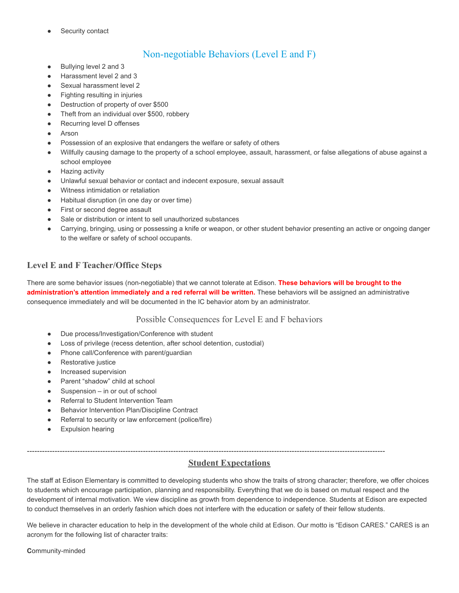Security contact

# Non-negotiable Behaviors (Level E and F)

- Bullying level 2 and 3
- Harassment level 2 and 3
- Sexual harassment level 2
- Fighting resulting in injuries
- Destruction of property of over \$500
- Theft from an individual over \$500, robbery
- Recurring level D offenses
- Arson
- Possession of an explosive that endangers the welfare or safety of others
- Willfully causing damage to the property of a school employee, assault, harassment, or false allegations of abuse against a school employee
- **Hazing activity**
- Unlawful sexual behavior or contact and indecent exposure, sexual assault
- Witness intimidation or retaliation
- Habitual disruption (in one day or over time)
- First or second degree assault
- Sale or distribution or intent to sell unauthorized substances
- Carrying, bringing, using or possessing a knife or weapon, or other student behavior presenting an active or ongoing danger to the welfare or safety of school occupants.

## **Level E and F Teacher/Office Steps**

There are some behavior issues (non-negotiable) that we cannot tolerate at Edison. **These behaviors will be brought to the administration's attention immediately and a red referral will be written.** These behaviors will be assigned an administrative consequence immediately and will be documented in the IC behavior atom by an administrator.

#### Possible Consequences for Level E and F behaviors

- Due process/Investigation/Conference with student
- Loss of privilege (recess detention, after school detention, custodial)
- Phone call/Conference with parent/guardian
- Restorative justice
- Increased supervision
- Parent "shadow" child at school
- Suspension  $-$  in or out of school
- **Referral to Student Intervention Team**
- Behavior Intervention Plan/Discipline Contract
- Referral to security or law enforcement (police/fire)
- Expulsion hearing

# ----------------------------------------------------------------------------------------------------------------------------------------------

## **Student Expectations**

The staff at Edison Elementary is committed to developing students who show the traits of strong character; therefore, we offer choices to students which encourage participation, planning and responsibility. Everything that we do is based on mutual respect and the development of internal motivation. We view discipline as growth from dependence to independence. Students at Edison are expected to conduct themselves in an orderly fashion which does not interfere with the education or safety of their fellow students.

We believe in character education to help in the development of the whole child at Edison. Our motto is "Edison CARES." CARES is an acronym for the following list of character traits:

**C**ommunity-minded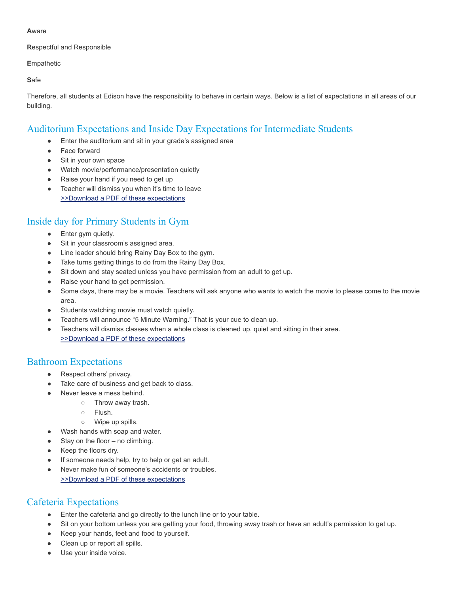#### **A**ware

#### **R**espectful and Responsible

#### **E**mpathetic

**S**afe

Therefore, all students at Edison have the responsibility to behave in certain ways. Below is a list of expectations in all areas of our building.

# Auditorium Expectations and Inside Day Expectations for Intermediate Students

- Enter the auditorium and sit in your grade's assigned area
- Face forward
- Sit in your own space
- Watch movie/performance/presentation quietly
- Raise your hand if you need to get up
- Teacher will dismiss you when it's time to leave [>>Download a PDF of these expectations](http://edison.dpsk12.org/wp-content/uploads/2011/08/Inside-Recess-Expectation-Intermediate.pdf)

# Inside day for Primary Students in Gym

- Enter gym quietly.
- Sit in your classroom's assigned area.
- Line leader should bring Rainy Day Box to the gym.
- Take turns getting things to do from the Rainy Day Box.
- Sit down and stay seated unless you have permission from an adult to get up.
- Raise your hand to get permission.
- Some days, there may be a movie. Teachers will ask anyone who wants to watch the movie to please come to the movie area.
- Students watching movie must watch quietly.
- Teachers will announce "5 Minute Warning." That is your cue to clean up.
- Teachers will dismiss classes when a whole class is cleaned up, quiet and sitting in their area. [>>Download a PDF of these expectations](http://edison.dpsk12.org/wp-content/uploads/2011/08/Inside-Recess-Expectations.pdf)

## Bathroom Expectations

- Respect others' privacy.
- Take care of business and get back to class.
- Never leave a mess behind.
	- Throw away trash.
	- Flush.
	- Wipe up spills.
- Wash hands with soap and water.
- Stay on the floor no climbing.
- Keep the floors dry.
- If someone needs help, try to help or get an adult.
- Never make fun of someone's accidents or troubles. [>>Download a PDF of these expectations](http://edison.dpsk12.org/wp-content/uploads/2011/08/Bathroom-Expectations.pdf)

# Cafeteria Expectations

- Enter the cafeteria and go directly to the lunch line or to your table.
- Sit on your bottom unless you are getting your food, throwing away trash or have an adult's permission to get up.
- Keep your hands, feet and food to yourself.
- Clean up or report all spills.
- Use your inside voice.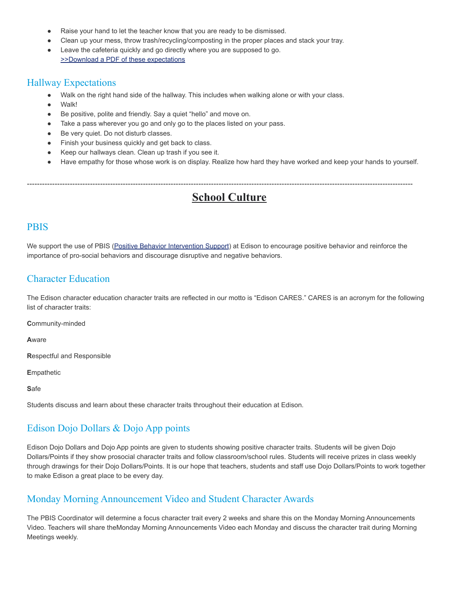- Raise your hand to let the teacher know that you are ready to be dismissed.
- Clean up your mess, throw trash/recycling/composting in the proper places and stack your tray.
- Leave the cafeteria quickly and go directly where you are supposed to go. [>>Download a PDF of these expectations](http://edison.dpsk12.org/wp-content/uploads/2011/08/Cafeteria-Expectations.pdf)

## Hallway Expectations

- Walk on the right hand side of the hallway. This includes when walking alone or with your class.
- Walk!
- Be positive, polite and friendly. Say a quiet "hello" and move on.
- Take a pass wherever you go and only go to the places listed on your pass.
- Be very quiet. Do not disturb classes.
- Finish your business quickly and get back to class.
- Keep our hallways clean. Clean up trash if you see it.
- Have empathy for those whose work is on display. Realize how hard they have worked and keep your hands to yourself.

# **School Culture**

---------------------------------------------------------------------------------------------------------------------------------------------------------

## PBIS

We support the use of PBIS [\(Positive Behavior Intervention](http://www.pbis.org/) Support) at Edison to encourage positive behavior and reinforce the importance of pro-social behaviors and discourage disruptive and negative behaviors.

## Character Education

The Edison character education character traits are reflected in our motto is "Edison CARES." CARES is an acronym for the following list of character traits:

**C**ommunity-minded

**A**ware

**R**espectful and Responsible

**E**mpathetic

**S**afe

Students discuss and learn about these character traits throughout their education at Edison.

# Edison Dojo Dollars & Dojo App points

Edison Dojo Dollars and Dojo App points are given to students showing positive character traits. Students will be given Dojo Dollars/Points if they show prosocial character traits and follow classroom/school rules. Students will receive prizes in class weekly through drawings for their Dojo Dollars/Points. It is our hope that teachers, students and staff use Dojo Dollars/Points to work together to make Edison a great place to be every day.

## Monday Morning Announcement Video and Student Character Awards

The PBIS Coordinator will determine a focus character trait every 2 weeks and share this on the Monday Morning Announcements Video. Teachers will share theMonday Morning Announcements Video each Monday and discuss the character trait during Morning Meetings weekly.